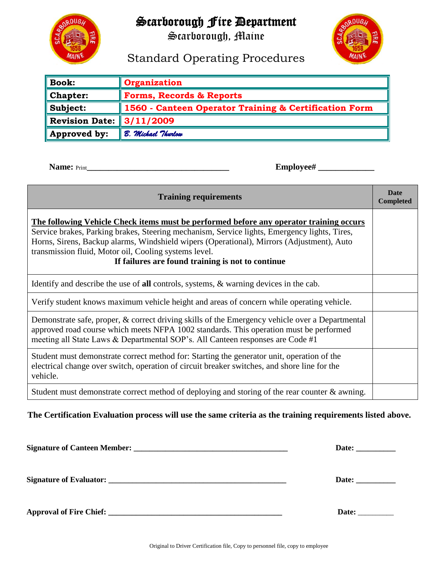

## Scarborough Fire Department

Scarborough, Maine



# Standard Operating Procedures

| <b>Book:</b>                 | Organization                                          |
|------------------------------|-------------------------------------------------------|
| <b>Chapter:</b>              | <b>Forms, Records &amp; Reports</b>                   |
| Subject:                     | 1560 - Canteen Operator Training & Certification Form |
| Revision Date: $\ 3/11/2009$ |                                                       |
| Approved by:                 | B. Michael Thurlow                                    |

**Name:** Print**\_\_\_\_\_\_\_\_\_\_\_\_\_\_\_\_\_\_\_\_\_\_\_\_\_\_\_\_\_\_\_\_\_ Employee# \_\_\_\_\_\_\_\_\_\_\_\_\_** 

| <b>Training requirements</b>                                                                                                                                                                                                                                                                                                                                                                       |  |  |  |
|----------------------------------------------------------------------------------------------------------------------------------------------------------------------------------------------------------------------------------------------------------------------------------------------------------------------------------------------------------------------------------------------------|--|--|--|
| The following Vehicle Check items must be performed before any operator training occurs<br>Service brakes, Parking brakes, Steering mechanism, Service lights, Emergency lights, Tires,<br>Horns, Sirens, Backup alarms, Windshield wipers (Operational), Mirrors (Adjustment), Auto<br>transmission fluid, Motor oil, Cooling systems level.<br>If failures are found training is not to continue |  |  |  |
| Identify and describe the use of all controls, systems, & warning devices in the cab.                                                                                                                                                                                                                                                                                                              |  |  |  |
| Verify student knows maximum vehicle height and areas of concern while operating vehicle.                                                                                                                                                                                                                                                                                                          |  |  |  |
| Demonstrate safe, proper, & correct driving skills of the Emergency vehicle over a Departmental<br>approved road course which meets NFPA 1002 standards. This operation must be performed<br>meeting all State Laws & Departmental SOP's. All Canteen responses are Code #1                                                                                                                        |  |  |  |
| Student must demonstrate correct method for: Starting the generator unit, operation of the<br>electrical change over switch, operation of circuit breaker switches, and shore line for the<br>vehicle.                                                                                                                                                                                             |  |  |  |
| Student must demonstrate correct method of deploying and storing of the rear counter $\&$ awning.                                                                                                                                                                                                                                                                                                  |  |  |  |

### **The Certification Evaluation process will use the same criteria as the training requirements listed above.**

| Date: _____________ |
|---------------------|
| Date: _________     |
| Date:               |